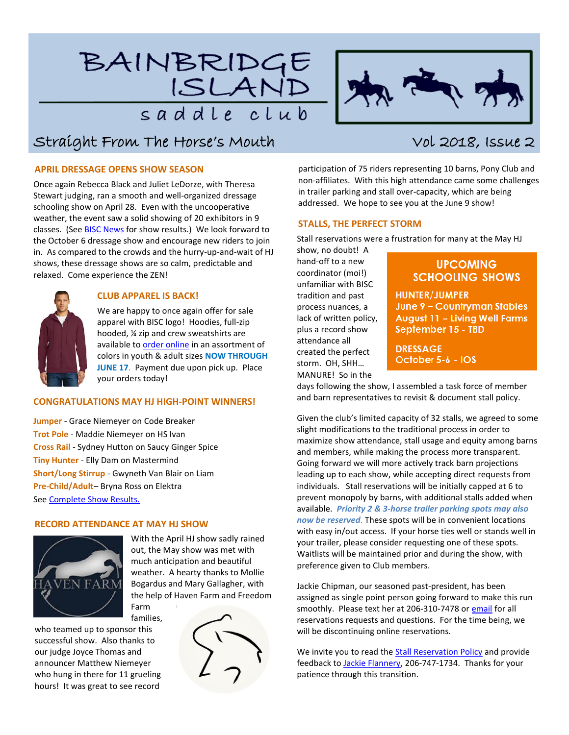# BAINBRIDGE ISLAND saddle club



# Straight From The Horse's Mouth Vol 2018, Issue 2

# **APRIL DRESSAGE OPENS SHOW SEASON**

Once again Rebecca Black and Juliet LeDorze, with Theresa Stewart judging, ran a smooth and well-organized dressage schooling show on April 28. Even with the uncooperative weather, the event saw a solid showing of 20 exhibitors in 9 classes. (See **BISC News** for show results.) We look forward to the October 6 dressage show and encourage new riders to join in. As compared to the crowds and the hurry-up-and-wait of HJ shows, these dressage shows are so calm, predictable and relaxed. Come experience the ZEN!



# **CLUB APPAREL IS BACK!**

We are happy to once again offer for sale apparel with BISC logo! Hoodies, full-zip hooded, ¼ zip and crew sweatshirts are available to [order online](https://docs.google.com/forms/d/e/1FAIpQLSfkYlgWjZNaCFtbRcJo_oR025ER3FXMCy8JB62HyohUVlvw7Q/viewform) in an assortment of colors in youth & adult sizes **NOW THROUGH JUNE 17**. Payment due upon pick up. Place your orders today!

### **CONGRATULATIONS MAY HJ HIGH-POINT WINNERS!**

**Jumper** - Grace Niemeyer on Code Breaker **Trot Pole** - Maddie Niemeyer on HS Ivan **Cross Rail** - Sydney Hutton on Saucy Ginger Spice **Tiny Hunter** - Elly Dam on Mastermind **Short/Long Stirrup** - Gwyneth Van Blair on Liam **Pre-Child/Adult**– Bryna Ross on Elektra See [Complete Show Results.](https://bainbridgeislandsaddleclub.wildapricot.org/resources/Documents/HJ%20Shows/2018/2018-05-05%20HJ%20Show%20Results.pdf)

# **RECORD ATTENDANCE AT MAY HJ SHOW**



With the April HJ show sadly rained out, the May show was met with much anticipation and beautiful weather. A hearty thanks to Mollie Bogardus and Mary Gallagher, with the help of Haven Farm and Freedom Farm

families, who teamed up to sponsor this successful show. Also thanks to our judge Joyce Thomas and announcer Matthew Niemeyer who hung in there for 11 grueling hours! It was great to see record



participation of 75 riders representing 10 barns, Pony Club and non-affiliates. With this high attendance came some challenges in trailer parking and stall over-capacity, which are being addressed. We hope to see you at the June 9 show!

#### **STALLS, THE PERFECT STORM**

Stall reservations were a frustration for many at the May HJ

show, no doubt! A hand-off to a new coordinator (moi!) unfamiliar with BISC tradition and past process nuances, a lack of written policy, plus a record show attendance all created the perfect storm. OH, SHH… MANURE! So in the

# **UPCOMING SCHOOLING SHOWS**

**HUNTER/JUMPER** June 9 - Countryman Stables August 11 - Living Well Farms September 15 - TBD

**DRESSAGE** October 5-6 - IOS

days following the show, I assembled a task force of member and barn representatives to revisit & document stall policy.

Given the club's limited capacity of 32 stalls, we agreed to some slight modifications to the traditional process in order to maximize show attendance, stall usage and equity among barns and members, while making the process more transparent. Going forward we will more actively track barn projections leading up to each show, while accepting direct requests from individuals. Stall reservations will be initially capped at 6 to prevent monopoly by barns, with additional stalls added when available. *Priority 2 & 3-horse trailer parking spots may also now be reserved*. These spots will be in convenient locations with easy in/out access. If your horse ties well or stands well in your trailer, please consider requesting one of these spots. Waitlists will be maintained prior and during the show, with preference given to Club members.

Jackie Chipman, our seasoned past-president, has been assigned as single point person going forward to make this run smoothly. Please text her at 206-310-7478 o[r email](mailto:jackie_chipman@msn.com?subject=Please%20reserve%20a%20Stall%20/%20Trailer%20Parking%20Spot%20for%20me!) for all reservations requests and questions. For the time being, we will be discontinuing online reservations.

We invite you to read th[e Stall Reservation Policy](https://bainbridgeislandsaddleclub.wildapricot.org/resources/Documents/BISC%20Stall%20Reservation%20Policy%20v2018-01.pdf) and provide feedback t[o Jackie Flannery,](mailto:jflannery@chezflan.net?subject=Stall%20Policy%20Feedback) 206-747-1734. Thanks for your patience through this transition.